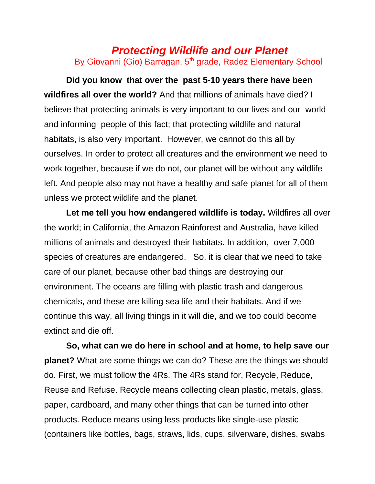## *Protecting Wildlife and our Planet* By Giovanni (Gio) Barragan, 5<sup>th</sup> grade, Radez Elementary School

**Did you know that over the past 5-10 years there have been wildfires all over the world?** And that millions of animals have died? I believe that protecting animals is very important to our lives and our world and informing people of this fact; that protecting wildlife and natural habitats, is also very important. However, we cannot do this all by ourselves. In order to protect all creatures and the environment we need to work together, because if we do not, our planet will be without any wildlife left. And people also may not have a healthy and safe planet for all of them unless we protect wildlife and the planet.

**Let me tell you how endangered wildlife is today.** Wildfires all over the world; in California, the Amazon Rainforest and Australia, have killed millions of animals and destroyed their habitats. In addition, over 7,000 species of creatures are endangered. So, it is clear that we need to take care of our planet, because other bad things are destroying our environment. The oceans are filling with plastic trash and dangerous chemicals, and these are killing sea life and their habitats. And if we continue this way, all living things in it will die, and we too could become extinct and die off.

**So, what can we do here in school and at home, to help save our planet?** What are some things we can do? These are the things we should do. First, we must follow the 4Rs. The 4Rs stand for, Recycle, Reduce, Reuse and Refuse. Recycle means collecting clean plastic, metals, glass, paper, cardboard, and many other things that can be turned into other products. Reduce means using less products like single-use plastic (containers like bottles, bags, straws, lids, cups, silverware, dishes, swabs